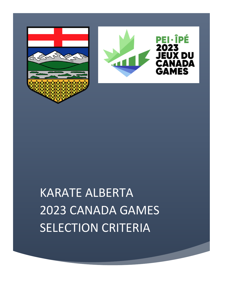



# KARATE ALBERTA 2023 CANADA GAMES SELECTION CRITERIA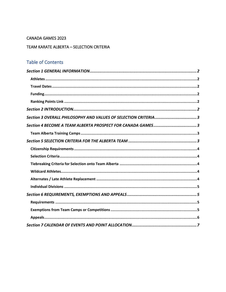## CANADA GAMES 2023

## TEAM KARATE ALBERTA - SELECTION CRITERIA

# Table of Contents

| Section 3 OVERALL PHILOSOPHY AND VALUES OF SELECTION CRITERIA3 |
|----------------------------------------------------------------|
| Section 4 BECOME A TEAM ALBERTA PROSPECT FOR CANADA GAMES3     |
|                                                                |
|                                                                |
|                                                                |
|                                                                |
|                                                                |
|                                                                |
|                                                                |
|                                                                |
|                                                                |
|                                                                |
|                                                                |
|                                                                |
|                                                                |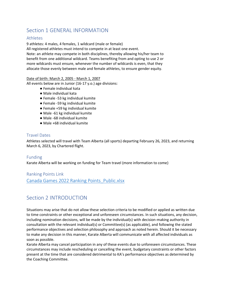## <span id="page-2-0"></span>Section 1 GENERAL INFORMATION

## <span id="page-2-1"></span>Athletes

9 athletes: 4 males, 4 females, 1 wildcard (male or female)

All registered athletes must intend to compete in at least one event.

Note: an athlete may compete in both disciplines, thereby allowing his/her team to benefit from one additional wildcard. Teams benefiting from and opting to use 2 or more wildcards must ensure, whenever the number of wildcards is even, that they allocate those evenly between male and female athletes, to ensure gender equity.

#### Date of birth: March 2, 2005 - March 1, 2007

All events below are in Junior (16-17 y.o.) age divisions:

- Female individual kata
- Male individual kata
- Female -53 kg individual kumite
- Female -59 kg individual kumite
- Female +59 kg individual kumite
- Male -61 kg individual kumite
- Male -68 individual kumite
- Male +68 individual kumite

## <span id="page-2-2"></span>Travel Dates

Athletes selected will travel with Team Alberta (all sports) departing February 26, 2023, and returning March 6, 2023, by Chartered flight.

## <span id="page-2-3"></span>Funding

Karate Alberta will be working on funding for Team travel (more information to come)

<span id="page-2-4"></span>Ranking Points Link Canada Games 2022 Ranking Points Public.xlsx

## <span id="page-2-5"></span>Section 2 INTRODUCTION

Situations may arise that do not allow these selection criteria to be modified or applied as written due to time constraints or other exceptional and unforeseen circumstances. In such situations, any decision, including nomination decisions, will be made by the individual(s) with decision-making authority in consultation with the relevant individual(s) or Committee(s) (as applicable), and following the stated performance objectives and selection philosophy and approach as noted herein. Should it be necessary to make any decision in this manner, Karate Alberta will communicate with all affected individuals as soon as possible.

Karate Alberta may cancel participation in any of these events due to unforeseen circumstances. These circumstances may include rescheduling or cancelling the event, budgetary constraints or other factors present at the time that are considered detrimental to KA's performance objectives as determined by the Coaching Committee.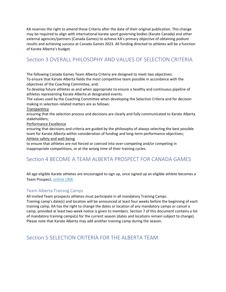KA reserves the right to amend these Criteria after the date of their original publication. This change may be required to align with international karate sport governing bodies (Karate Canada) and other external agencies/partners (Canada Games) to achieve KA's primary objective of obtaining podium results and achieving success at Canada Games 2023. All funding directed to athletes will be a function of Karate Alberta's budget.

## <span id="page-3-0"></span>Section 3 OVERALL PHILOSOPHY AND VALUES OF SELECTION CRITERIA

The following Canada Games Team Alberta Criteria are designed to meet two objectives: To ensure that Karate Alberta fields the most competitive team possible in accordance with the objectives of the Coaching Committee, and;

To develop future athletes as and when appropriate to ensure a healthy and continuous pipeline of athletes representing Karate Alberta at designated events.

The values used by the Coaching Committee when developing the Selection Criteria and for decision making in selection-related matters are as follows:

#### **Transparency**

ensuring that the selection process and decisions are clearly and fully communicated to Karate Alberta stakeholders;

Performance Excellence

ensuring that decisions and criteria are guided by the philosophy of always selecting the best possible team for Karate Alberta within consideration of funding and long-term performance objectives; Athlete safety and well-being

to ensure that athletes are not forced or coerced into over-competing and/or competing in inappropriate competitions, or at the wrong time of their training cycles.

## <span id="page-3-1"></span>Section 4 BECOME A TEAM ALBERTA PROSPECT FOR CANADA GAMES

All age eligible Karate athletes are encouraged to sign up, once signed up an eligible athlete becomes a Team Prospect, [online LINK](https://martialmember.com/ExternalMember/Index/36)

## <span id="page-3-2"></span>Team Alberta Training Camps

All invited Team prospects athletes must participate in all mandatory Training Camps.

Training camp's date(s) and location will be announced at least four weeks before the beginning of each training camp. KA has the right to change the dates or location of any mandatory camps or cancel a camp, provided at least two-week notice is given to members. Section 7 of this document contains a list of mandatory training camps(s) for the current season (dates and locations remain subject to change). Please note that Karate Alberta may add another training camp during the season.

## <span id="page-3-3"></span>Section 5 SELECTION CRITERIA FOR THE ALBERTA TEAM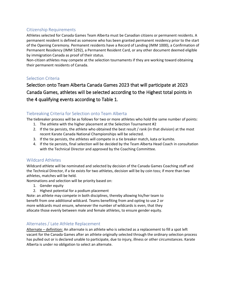## <span id="page-4-0"></span>Citizenship Requirements

Athletes selected for Canada Games Team Alberta must be Canadian citizens or permanent residents. A permanent resident is defined as someone who has been granted permanent residency prior to the start of the Opening Ceremony. Permanent residents have a Record of Landing (IMM 1000), a Confirmation of Permanent Residency (IMM 5292), a Permanent Resident Card, or any other document deemed eligible by immigration Canada as proof of their status.

Non-citizen athletes may compete at the selection tournaments if they are working toward obtaining their permanent residents of Canada.

## <span id="page-4-1"></span>Selection Criteria

Selection onto Team Alberta Canada Games 2023 that will participate at 2023 Canada Games, athletes will be selected according to the Highest total points in the 4 qualifying events according to Table 1.

## <span id="page-4-2"></span>Tiebreaking Criteria for Selection onto Team Alberta

The tiebreaker process will be as follows for two or more athletes who hold the same number of points:

- 1. The athlete with the higher placement at the Selection Tournament #2
- 2. If the tie persists, the athlete who obtained the best result / rank (in that division) at the most recent Karate Canada National Championships will be selected.
- 3. If the tie persists, the athletes will compete in a tie breaker match, kata or kumite.
- 4. If the tie persists, final selection will be decided by the Team Alberta Head Coach in consultation with the Technical Director and approved by the Coaching Committee.

## <span id="page-4-3"></span>Wildcard Athletes

Wildcard athlete will be nominated and selected by decision of the Canada Games Coaching staff and the Technical Director, if a tie exists for two athletes, decision will be by coin toss; if more than two athletes, matches will be held.

Nominations and selection will be priority based on:

- 1. Gender equity
- 2. Highest potential for a podium placement

Note: an athlete may compete in both disciplines, thereby allowing his/her team to benefit from one additional wildcard. Teams benefiting from and opting to use 2 or more wildcards must ensure, whenever the number of wildcards is even, that they allocate those evenly between male and female athletes, to ensure gender equity.

## <span id="page-4-4"></span>Alternates / Late Athlete Replacement

Alternate - definition: An alternate is an athlete who is selected as a replacement to fill a spot left vacant for the Canada Games after an athlete originally selected through the ordinary selection process has pulled out or is declared unable to participate, due to injury, illness or other circumstances. Karate Alberta is under no obligation to select an alternate.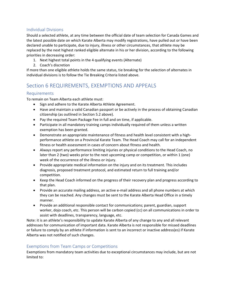## <span id="page-5-0"></span>Individual Divisions

Should a selected athlete, at any time between the official date of team selection for Canada Games and the latest possible date on which Karate Alberta may modify registrations, have pulled out or have been declared unable to participate, due to injury, illness or other circumstances, that athlete may be replaced by the next highest ranked eligible alternate in his or her division, according to the following priorities in decreasing order:

- 1. Next highest total points in the 4 qualifying events (Alternate)
- 2. Coach's discretion

If more than one eligible athlete holds the same status, tie breaking for the selection of alternates in individual divisions is to follow the Tie Breaking Criteria listed above.

## <span id="page-5-1"></span>Section 6 REQUIREMENTS, EXEMPTIONS AND APPEALS

## <span id="page-5-2"></span>Requirements

To remain on Team Alberta each athlete must:

- Sign and adhere to the Karate Alberta Athlete Agreement.
- Have and maintain a valid Canadian passport or be actively in the process of obtaining Canadian citizenship (as outlined in Section 5.2 above).
- Pay the required Team Package Fee in full and on time, if applicable.
- Participate in all mandatory training camps individually required of them unless a written exemption has been granted.
- Demonstrate an appropriate maintenance of fitness and health level consistent with a highperformance athlete on a Provincial Karate Team. The Head Coach may call for an independent fitness or health assessment in cases of concern about fitness and health.
- Always report any performance limiting injuries or physical conditions to the Head Coach, no later than 2 (two) weeks prior to the next upcoming camp or competition, or within 1 (one) week of the occurrence of the illness or injury.
- Provide appropriate medical information on the injury and on its treatment. This includes diagnosis, proposed treatment protocol, and estimated return to full training and/or competition.
- Keep the Head Coach informed on the progress of their recovery plan and progress according to that plan.
- Provide an accurate mailing address, an active e-mail address and all phone numbers at which they can be reached. Any changes must be sent to the Karate Alberta Head Office in a timely manner.
- Provide an additional responsible contact for communications; parent, guardian, support worker, dojo coach, etc. This person will be carbon copied (cc) on all communications in order to assist with deadlines, transparency, language, etc.

Note: it is an athlete's responsibility to update Karate Alberta of any change to any and all relevant addresses for communication of important data. Karate Alberta is not responsible for missed deadlines or failure to comply by an athlete if information is sent to an incorrect or inactive address(es) if Karate Alberta was not notified of such changes.

## <span id="page-5-3"></span>Exemptions from Team Camps or Competitions

Exemptions from mandatory team activities due to exceptional circumstances may include, but are not limited to: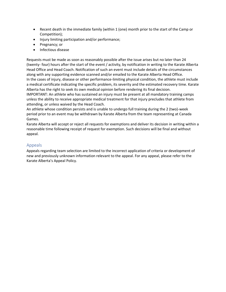- Recent death in the immediate family (within 1 (one) month prior to the start of the Camp or Competition);
- Injury limiting participation and/or performance;
- Pregnancy; or
- Infectious disease

Requests must be made as soon as reasonably possible after the issue arises but no later than 24 (twenty- four) hours after the start of the event / activity, by notification in writing to the Karate Alberta Head Office and Head Coach. Notification of such an event must include details of the circumstances along with any supporting evidence scanned and/or emailed to the Karate Alberta Head Office. In the cases of injury, disease or other performance-limiting physical condition, the athlete must include a medical certificate indicating the specific problem, its severity and the estimated recovery time. Karate Alberta has the right to seek its own medical opinion before rendering its final decision.

IMPORTANT: An athlete who has sustained an injury must be present at all mandatory training camps unless the ability to receive appropriate medical treatment for that injury precludes that athlete from attending, or unless waived by the Head Coach.

An athlete whose condition persists and is unable to undergo full training during the 2 (two)-week period prior to an event may be withdrawn by Karate Alberta from the team representing at Canada Games.

Karate Alberta will accept or reject all requests for exemptions and deliver its decision in writing within a reasonable time following receipt of request for exemption. Such decisions will be final and without appeal.

#### <span id="page-6-0"></span>Appeals

Appeals regarding team selection are limited to the incorrect application of criteria or development of new and previously unknown information relevant to the appeal. For any appeal, please refer to the Karate Alberta's Appeal Policy.